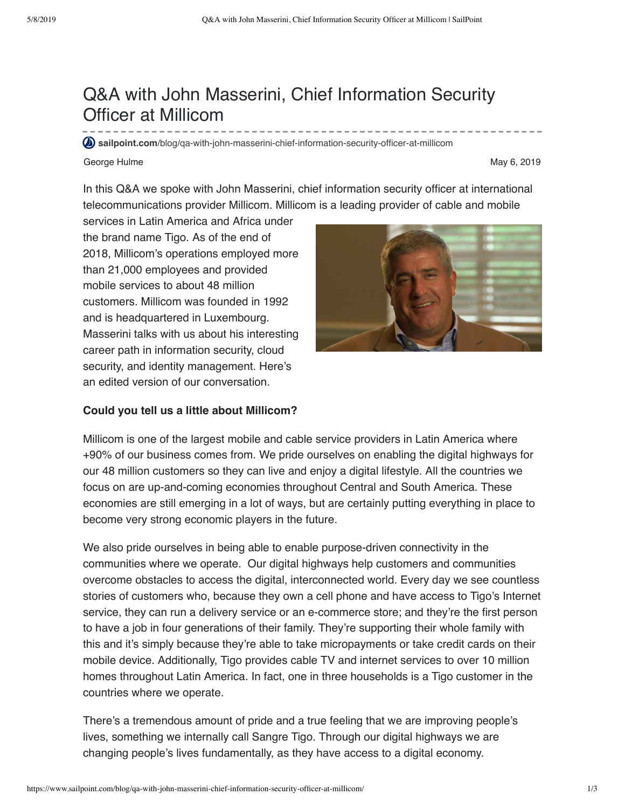# Q&A with John Masserini, Chief Information Security Officer at Millicom

**sailpoint.com**[/blog/qa-with-john-masserini-chief-information-security-officer-at-millicom](https://www.sailpoint.com/blog/qa-with-john-masserini-chief-information-security-officer-at-millicom/?elqct=Website&elqchannel=OrganicDirect)

#### George Hulme May 6, 2019

In this Q&A we spoke with John Masserini, chief information security officer at international telecommunications provider Millicom. Millicom is a leading provider of cable and mobile

services in Latin America and Africa under the brand name Tigo. As of the end of 2018, Millicom's operations employed more than 21,000 employees and provided mobile services to about 48 million customers. Millicom was founded in 1992 and is headquartered in Luxembourg. Masserini talks with us about his interesting career path in information security, cloud security, and identity management. Here's an edited version of our conversation.



### **Could you tell us a little about Millicom?**

Millicom is one of the largest mobile and cable service providers in Latin America where +90% of our business comes from. We pride ourselves on enabling the digital highways for our 48 million customers so they can live and enjoy a digital lifestyle. All the countries we focus on are up-and-coming economies throughout Central and South America. These economies are still emerging in a lot of ways, but are certainly putting everything in place to become very strong economic players in the future.

We also pride ourselves in being able to enable purpose-driven connectivity in the communities where we operate. Our digital highways help customers and communities overcome obstacles to access the digital, interconnected world. Every day we see countless stories of customers who, because they own a cell phone and have access to Tigo's Internet service, they can run a delivery service or an e-commerce store; and they're the first person to have a job in four generations of their family. They're supporting their whole family with this and it's simply because they're able to take micropayments or take credit cards on their mobile device. Additionally, Tigo provides cable TV and internet services to over 10 million homes throughout Latin America. In fact, one in three households is a Tigo customer in the countries where we operate.

There's a tremendous amount of pride and a true feeling that we are improving people's lives, something we internally call Sangre Tigo. Through our digital highways we are changing people's lives fundamentally, as they have access to a digital economy.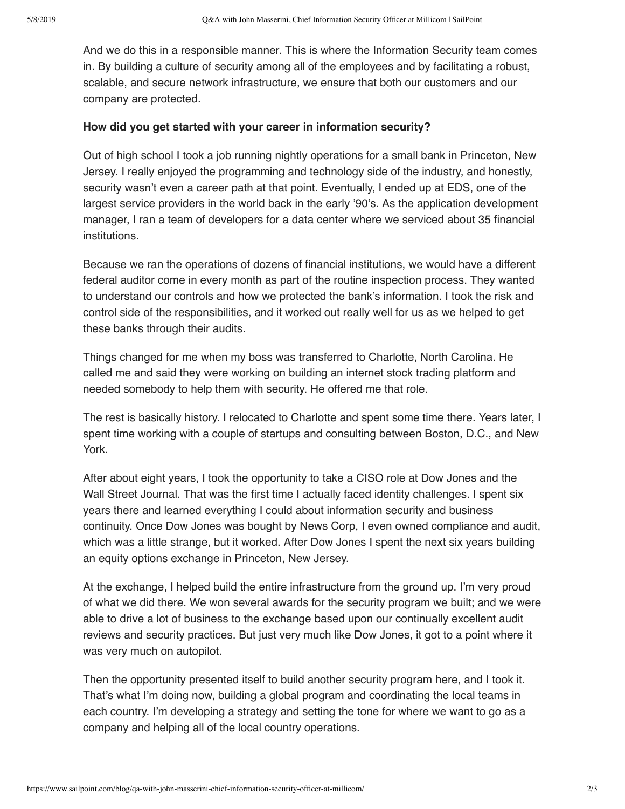And we do this in a responsible manner. This is where the Information Security team comes in. By building a culture of security among all of the employees and by facilitating a robust, scalable, and secure network infrastructure, we ensure that both our customers and our company are protected.

#### **How did you get started with your career in information security?**

Out of high school I took a job running nightly operations for a small bank in Princeton, New Jersey. I really enjoyed the programming and technology side of the industry, and honestly, security wasn't even a career path at that point. Eventually, I ended up at EDS, one of the largest service providers in the world back in the early '90's. As the application development manager, I ran a team of developers for a data center where we serviced about 35 financial institutions.

Because we ran the operations of dozens of financial institutions, we would have a different federal auditor come in every month as part of the routine inspection process. They wanted to understand our controls and how we protected the bank's information. I took the risk and control side of the responsibilities, and it worked out really well for us as we helped to get these banks through their audits.

Things changed for me when my boss was transferred to Charlotte, North Carolina. He called me and said they were working on building an internet stock trading platform and needed somebody to help them with security. He offered me that role.

The rest is basically history. I relocated to Charlotte and spent some time there. Years later, I spent time working with a couple of startups and consulting between Boston, D.C., and New York.

After about eight years, I took the opportunity to take a CISO role at Dow Jones and the Wall Street Journal. That was the first time I actually faced identity challenges. I spent six years there and learned everything I could about information security and business continuity. Once Dow Jones was bought by News Corp, I even owned compliance and audit, which was a little strange, but it worked. After Dow Jones I spent the next six years building an equity options exchange in Princeton, New Jersey.

At the exchange, I helped build the entire infrastructure from the ground up. I'm very proud of what we did there. We won several awards for the security program we built; and we were able to drive a lot of business to the exchange based upon our continually excellent audit reviews and security practices. But just very much like Dow Jones, it got to a point where it was very much on autopilot.

Then the opportunity presented itself to build another security program here, and I took it. That's what I'm doing now, building a global program and coordinating the local teams in each country. I'm developing a strategy and setting the tone for where we want to go as a company and helping all of the local country operations.